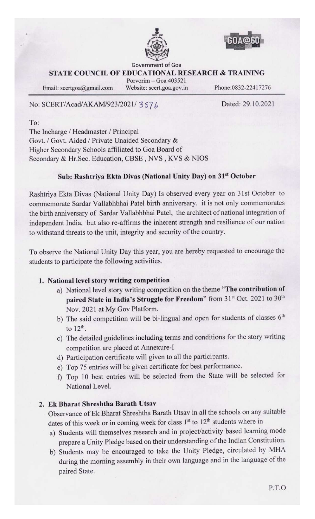



**STATE COUNCIL OF EDUCATIONAL RESEARCH & TRAINING** 

Porvorim - Goa 403521

Email: scertgoa@gmail.com

Website: scert.goa.gov.in

Phone: 0832-22417276

No: SCERT/Acad/AKAM/923/2021/3576

Dated: 29.10.2021

To:

The Incharge / Headmaster / Principal Govt. / Govt. Aided / Private Unaided Secondary & Higher Secondary Schools affiliated to Goa Board of Secondary & Hr.Sec. Education, CBSE, NVS, KVS & NIOS

## Sub: Rashtriya Ekta Divas (National Unity Day) on 31<sup>st</sup> October

Rashtriya Ekta Divas (National Unity Day) Is observed every year on 31st October to commemorate Sardar Vallabhbhai Patel birth anniversary. it is not only commemorates the birth anniversary of Sardar Vallabhbhai Patel, the architect of national integration of independent India, but also re-affirms the inherent strength and resilience of our nation to withstand threats to the unit, integrity and security of the country.

To observe the National Unity Day this year, you are hereby requested to encourage the students to participate the following activities.

# 1. National level story writing competition

- a) National level story writing competition on the theme "The contribution of paired State in India's Struggle for Freedom" from 31st Oct. 2021 to 30th Nov. 2021 at My Gov Platform.
- b) The said competition will be bi-lingual and open for students of classes 6<sup>th</sup> to  $12<sup>th</sup>$ .
- c) The detailed guidelines including terms and conditions for the story writing competition are placed at Annexure-I
- d) Participation certificate will given to all the participants.
- e) Top 75 entries will be given certificate for best performance.
- f) Top 10 best entries will be selected from the State will be selected for National Level.

# 2. Ek Bharat Shreshtha Barath Utsav

- Observance of Ek Bharat Shreshtha Barath Utsav in all the schools on any suitable dates of this week or in coming week for class 1<sup>st</sup> to 12<sup>th</sup> students where in
- a) Students will themselves research and in project/activity based learning mode prepare a Unity Pledge based on their understanding of the Indian Constitution.
- b) Students may be encouraged to take the Unity Pledge, circulated by MHA during the morning assembly in their own language and in the language of the paired State.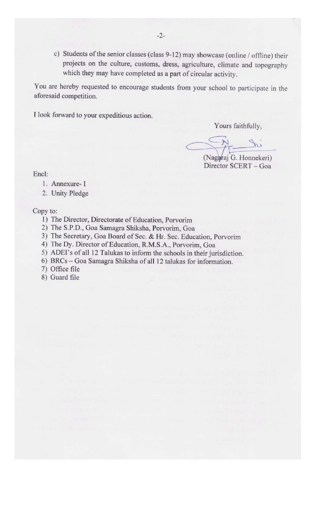c) Students of the senior classes (class 9-12) may showcase (online / offline) their projects on the culture, customs, dress, agriculture, climate and topography which they may have completed as a part of circular activity.

You are hereby requested to encourage students from your school to participate in the aforesaid competition.

I look forward to your expeditious action.

Yours faithfully,

(Nagaraj G. Honnekeri) Director SCERT - Goa

Encl:

- 1. Annexure- I
- 2. Unity Pledge

Copy to:

- 1) The Director, Directorate of Education, Porvorim
- 2) The S.P.D., Goa Samagra Shiksha, Porvorim, Goa
- 3) The Secretary, Goa Board of Sec. & Hr. Sec. Education, Porvorim
- 4) The Dy. Director of Education, R.M.S.A., Porvorim, Goa
- 5) ADEI's of all 12 Talukas to inform the schools in their jurisdiction.
- 6) BRCs Goa Samagra Shiksha of all 12 talukas for information.
- 7) Office file
- 8) Guard file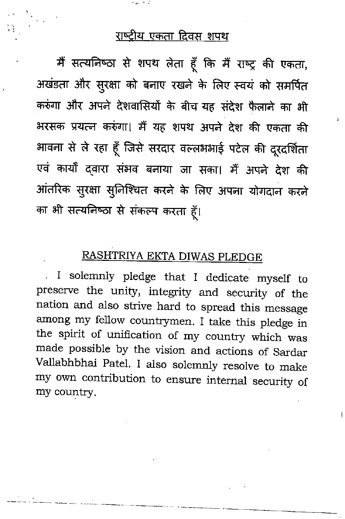# <u>राष्ट्रीय एकता दिवस शपथ</u>

मैं सत्यनिष्ठा से शपथ लेता हूँ कि मैं राष्ट्र की एकता, अखंडता और सुरक्षा को बनाए रखने के लिए स्वयं को समर्पित करुंगा और अपने देशवासियों के बीच यह संदेश फैलाने का भी अरसक प्रयत्न करुंगा। मैं यह शपथ अपने देश की एकता की भावना से ले रहा हूँ जिसे सरदार वल्लभभाई पटेल की दूरदर्शिता एवं कार्यों द्वारा संभव बनाया जा सका। मैं अपने देश की आंतरिक सुरक्षा सुनिश्चित करने के लिए अपना योगदान करने का भी सत्यनिष्ठा से संकल्प करता हूँ।

# RASHTRIYA EKTA DIWAS PLEDGE

. I solemnly pledge that I dedicate myself to preserve the unity, integrity and security of the nation and also strive hard to spread this message among my fellow countrymen. 1 take this pledge in the spirit of unification of my country which was made possible by the vision and actions of Sardar Vallabhbhai Patel. I also solemnly resolve to make my own contribution to ensure internal security of my country.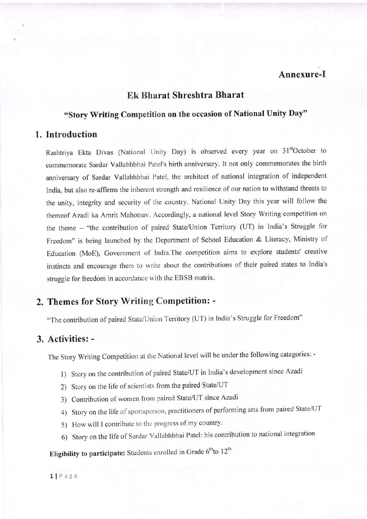## Ek Bharat Shreshtra Bharat

## "Story Writing Competition on the occasion of National Unity Day"

#### 1. Introduction

Rashtriya Ekta Divas (National Unity Day) is observed every year on 31<sup>st</sup>October to commemorate Sardar Vallabhbhai Patel's birth anniversary. It not only commemorates the birth anniversary of Sardar Vallabhbhai Patel, the architect of national integration of independent India, but also re-affirms the inherent strength and resilience of our nation to withstand threats to the unity, integrity and security of the country. National Unity Day this year will follow the themeof Azadi ka Amrit Mahotsav. Accordingly, a national level Story Writing competition on the theme - "the contribution of paired State/Union Territory (UT) in India's Struggle for Freedom" is being launched by the Department of School Education & Literacy, Ministry of Education (MoE), Government of India.The competition aims to explore students' creative instincts and encourage them to write about the contributions of their paired states to India's struggle for freedom in accordance with the EBSB matrix.

# 2. Themes for Story Writing Competition: -

"The contribution of paired State/Union Territory (UT) in India's Struggle for Freedom"

#### 3. Activities: -

The Story Writing Competition at the National level will be under the following categories: -

- l) Story on the contribution of paired State/lJT in India's development since Azadi
- 2) Story on the life of scientists from the paired State/UT
- 3) Contribution of women from paired State/UT since Azadi
- 4) Story on the life of sportsperson, practitioners of performing arts from paired State/UT
- 5) How will I contribute to the progress of my country.
- 6) Story on the life of Sarciar Vallabhbhai Patel: his contribution to national integration

# Eligibility to participate: Students enrolled in Grade  $6<sup>th</sup>$ to  $12<sup>th</sup>$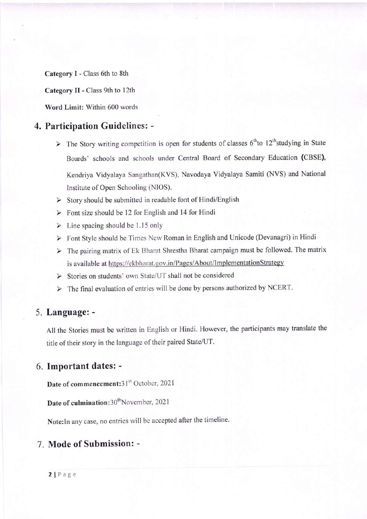Category I - Class 6th to 8th

Category II - Class 9th to l2th

Word Limit: Within 600 words

### 4. Participation Guidelines: -

- > The Story writing competition is open for students of classes  $6^{th}$ to 12<sup>th</sup>studying in State Boards' schools and schools under Central Board of Secondary Education (CBSE), Kendriya Vidyalaya Sangathan(Kvs), Navodaya Vidyalaya Samiti (NVS) and National Institute of Open Schooling (NIOS).
- > Story should be submitted in readable font of Hindi/English
- $\triangleright$  Font size should be 12 for English and 14 for Hindi
- $\triangleright$  Line spacing should be 1.15 only
- > Font Style should be Times New Roman in English and Unicode (Devanagri) in Hindi
- $\triangleright$  The pairing matrix of Ek Bharat Shrestha Bharat campaign must be followed. The matrix is available at https://ekbharat.gov.in/Pages/About/ImplementationStrategy
- $\triangleright$  Stories on students' own State/UT shall not be considered
- $\triangleright$  The final evaluation of entries will be done by persons authorized by NCERT.

## 5. Language: -

All the Stories must be written in English or Hindi. However, the participants may translate the title of their story in the language of their paired State/UT.

### 6. Important dates: -

Date of commencement: 31st October, 2021

Date of culmination: 30<sup>th</sup>November, 2021

Note:ln any case, no entries will be accepted after the timeline.

## 7. Mode of Submission: -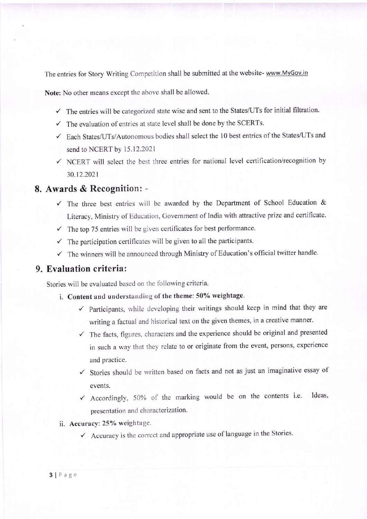The entries for Story Writing Competition shall be submitted at the website- www.MyGov.in

Note: No other means except the above shall be allowed.

- $\checkmark$  The entries will be categorized state wise and sent to the States/UTs for initial filtration.
- $\checkmark$  The evaluation of entries at state level shall be done by the SCERTs.
- $\checkmark$  Each States/UTs/Autonomous bodies shall select the 10 best entries of the States/UTs and send to NCERT by 15.12.2021
- $\checkmark$  NCERT will select the best three entries for national level certification/recognition by 30.12.2021

### 8. Awards & Recognition: -

- $\checkmark$  The three best entries will be awarded by the Department of School Education & Literacy, Ministry of Education, Government of India with attractive prize and certificate.
- $\checkmark$  The top 75 entries will be given certificates for best performance.
- $\checkmark$  The participation certificates will be given to all the participants.
- $\checkmark$  The winners will be announced through Ministry of Education's official twitter handle.

## 9. Evaluation criteria:

Stories will be evaluated based on the following criteria.

- i. Content and understanding of the theme: 50% weightage.
	- $\checkmark$  Participants, while developing their writings should keep in mind that they are writing a factual and historical text on the given themes, in a creative manner.
	- $\checkmark$  The facts, figures, characters and the experience should be original and presented in such a way that they relate to or originate from the event, persons, experience and practice.
	- $\checkmark$  Stories should be written based on facts and not as just an imaginative essay of events.
	- $\checkmark$  Accordingly, 50% of the marking would be on the contents i.e. Ideas, presentation and characterization.
- ii. Accuracy: 25% weightage.
	- $\checkmark$  Accuracy is the correct and appropriate use of language in the Stories.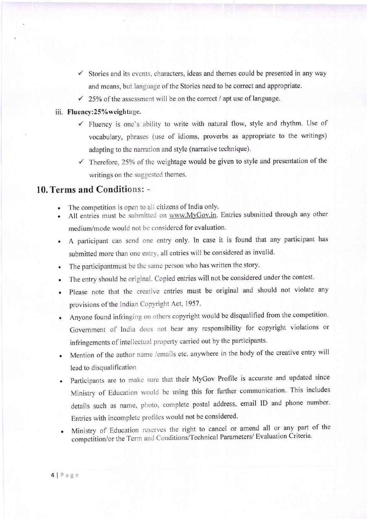- $\checkmark$  Stories and its events, characters, ideas and themes could be presented in any way and means, but language of the Stories need to be correct and appropriate.
- $\checkmark$  25% of the assessment will be on the correct / apt use of language.

#### iii. Fluency:25% weightage.

- $\checkmark$  Fluency is one's ability to write with natural flow, style and rhythm. Use of vocabulary, phrases (use of idioms, proverbs as appropriate to the writings) adapting to the narration and style (narrative technique).
- $\checkmark$  Therefore, 25% of the weightage would be given to style and presentation of the writings on the suggested themes.

### 10. Terms and Conditions: -

- . The competition is open to all citizens of India only.
- All entries must be submitted on www.MyGov.in. Entries submitted through any other medium/mode would not be considered for evaluation.
- . A participant can send one entry only. In case it is found that any participant has submitted more than one entry, all entries will be considered as invalid.
- . The participantmust be thc same person who has written the story.
- The entry should be original. Copied entries will not be considered under the contest.
- . please note that the creative entries must be original and should not violate any provisions of the Indian Copyright Act, 1957.
- . Anyone found infringing on others copyright would be disqualified from the competition. Government of India does not bear any responsibility for copyright violations or infringements of intellectual property carried out by the participants.
- . Mention of the author name /emails etc. anywhere in the body of the creative entry will lead to disqualification
- . Participants are to make sure that their MyGov Profile is accurate and updated since Ministry of Education would be using this for further communication. This includes details such as name, photo, complete postal address, email ID and phone number. Entries with incomplete profiles would not be considered.
- . Ministry of Education rcscrves the right to cancel or amend all or any part of the competition/or the Term and Conditions/Technical Parameters/ Evaluation Criteria.